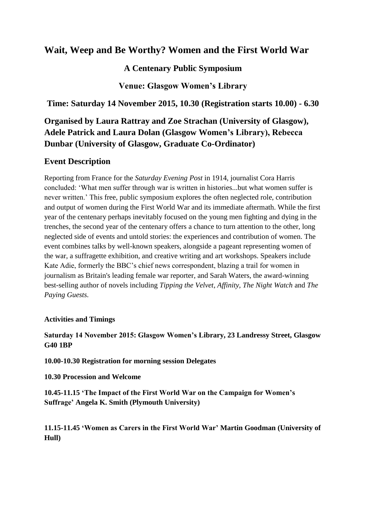# **Wait, Weep and Be Worthy? Women and the First World War**

## **A Centenary Public Symposium**

**Venue: Glasgow Women's Library**

**Time: Saturday 14 November 2015, 10.30 (Registration starts 10.00) - 6.30**

**Organised by Laura Rattray and Zoe Strachan (University of Glasgow), Adele Patrick and Laura Dolan (Glasgow Women's Library), Rebecca Dunbar (University of Glasgow, Graduate Co-Ordinator)**

## **Event Description**

Reporting from France for the *Saturday Evening Post* in 1914, journalist Cora Harris concluded: 'What men suffer through war is written in histories...but what women suffer is never written.' This free, public symposium explores the often neglected role, contribution and output of women during the First World War and its immediate aftermath. While the first year of the centenary perhaps inevitably focused on the young men fighting and dying in the trenches, the second year of the centenary offers a chance to turn attention to the other, long neglected side of events and untold stories: the experiences and contribution of women. The event combines talks by well-known speakers, alongside a pageant representing women of the war, a suffragette exhibition, and creative writing and art workshops. Speakers include Kate Adie, formerly the BBC's chief news correspondent, blazing a trail for women in journalism as Britain's leading female war reporter, and Sarah Waters, the award-winning best-selling author of novels including *Tipping the Velvet*, *Affinity, The Night Watch* and *The Paying Guests.*

#### **Activities and Timings**

### **Saturday 14 November 2015: Glasgow Women's Library, 23 Landressy Street, Glasgow G40 1BP**

**10.00-10.30 Registration for morning session Delegates**

**10.30 Procession and Welcome**

**10.45-11.15 'The Impact of the First World War on the Campaign for Women's Suffrage' Angela K. Smith (Plymouth University)**

**11.15-11.45 'Women as Carers in the First World War' Martin Goodman (University of Hull)**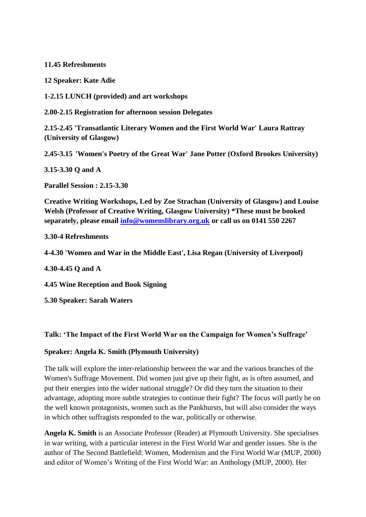**11.45 Refreshments**

**12 Speaker: Kate Adie** 

**1-2.15 LUNCH (provided) and art workshops**

**2.00-2.15 Registration for afternoon session Delegates**

**2.15-2.45 'Transatlantic Literary Women and the First World War' Laura Rattray (University of Glasgow)**

**2.45-3.15 'Women's Poetry of the Great War' Jane Potter (Oxford Brookes University)**

**3.15-3.30 Q and A**

**Parallel Session : 2.15-3.30** 

**Creative Writing Workshops, Led by Zoe Strachan (University of Glasgow) and Louise Welsh (Professor of Creative Writing, Glasgow University) \*These must be booked separately, please email [info@womenslibrary.org.uk](mailto:info@womenslibrary.org.uk) or call us on 0141 550 2267**

**3.30-4 Refreshments**

**4-4.30 'Women and War in the Middle East', Lisa Regan (University of Liverpool)**

**4.30-4.45 Q and A**

**4.45 Wine Reception and Book Signing**

**5.30 Speaker: Sarah Waters**

#### **Talk: 'The Impact of the First World War on the Campaign for Women's Suffrage'**

#### **Speaker: Angela K. Smith (Plymouth University)**

The talk will explore the inter-relationship between the war and the various branches of the Women's Suffrage Movement. Did women just give up their fight, as is often assumed, and put their energies into the wider national struggle? Or did they turn the situation to their advantage, adopting more subtle strategies to continue their fight? The focus will partly be on the well known protagonists, women such as the Pankhursts, but will also consider the ways in which other suffragists responded to the war, politically or otherwise.

**Angela K. Smith** is an Associate Professor (Reader) at Plymouth University. She specialises in war writing, with a particular interest in the First World War and gender issues. She is the author of The Second Battlefield: Women, Modernism and the First World War (MUP, 2000) and editor of Women's Writing of the First World War: an Anthology (MUP, 2000). Her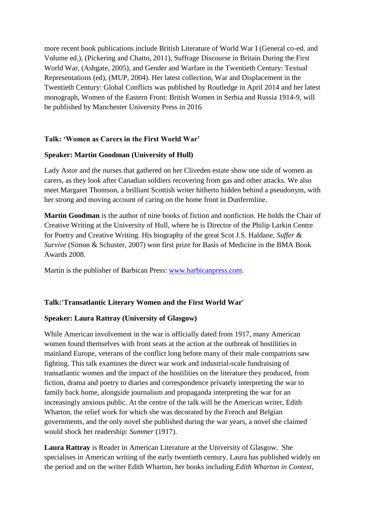more recent book publications include British Literature of World War I (General co-ed. and Volume ed.), (Pickering and Chatto, 2011), Suffrage Discourse in Britain During the First World War, (Ashgate, 2005), and Gender and Warfare in the Twentieth Century: Textual Representations (ed), (MUP, 2004). Her latest collection, War and Displacement in the Twentieth Century: Global Conflicts was published by Routledge in April 2014 and her latest monograph, Women of the Eastern Front: British Women in Serbia and Russia 1914-9, will be published by Manchester University Press in 2016

#### **Talk: 'Women as Carers in the First World War'**

#### **Speaker: Martin Goodman (University of Hull)**

Lady Astor and the nurses that gathered on her Cliveden estate show one side of women as carers, as they look after Canadian soldiers recovering from gas and other attacks. We also meet Margaret Thomson, a brilliant Scottish writer hitherto hidden behind a pseudonym, with her strong and moving account of caring on the home front in Dunfermline.

**Martin Goodman** is the author of nine books of fiction and nonfiction. He holds the Chair of Creative Writing at the University of Hull, where he is Director of the Philip Larkin Centre for Poetry and Creative Writing. His biography of the great Scot J.S. Haldane, *Suffer & Survive* (Simon & Schuster, 2007) won first prize for Basis of Medicine in the BMA Book Awards 2008.

Martin is the publisher of Barbican Press: [www.barbicanpress.com.](https://mail.campus.gla.ac.uk/owa/redir.aspx?SURL=lsK8xeis8tM8tgnC2niT8DQj03rb_V4Eu1HH9o20onCHtX61h4HSCGgAdAB0AHAAOgAvAC8AdwB3AHcALgBiAGEAcgBiAGkAYwBhAG4AcAByAGUAcwBzAC4AYwBvAG0A&URL=http%3a%2f%2fwww.barbicanpress.com)

#### **Talk:'Transatlantic Literary Women and the First World War'**

#### **Speaker: Laura Rattray (University of Glasgow)**

While American involvement in the war is officially dated from 1917, many American women found themselves with front seats at the action at the outbreak of hostilities in mainland Europe, veterans of the conflict long before many of their male compatriots saw fighting. This talk examines the direct war work and industrial-scale fundraising of transatlantic women and the impact of the hostilities on the literature they produced, from fiction, drama and poetry to diaries and correspondence privately interpreting the war to family back home, alongside journalism and propaganda interpreting the war for an increasingly anxious public. At the centre of the talk will be the American writer, Edith Wharton, the relief work for which she was decorated by the French and Belgian governments, and the only novel she published during the war years, a novel she claimed would shock her readership: *Summer* (1917).

**Laura Rattray** is Reader in American Literature at the University of Glasgow. She specialises in American writing of the early twentieth century. Laura has published widely on the period and on the writer Edith Wharton, her books including *Edith Wharton in Context*,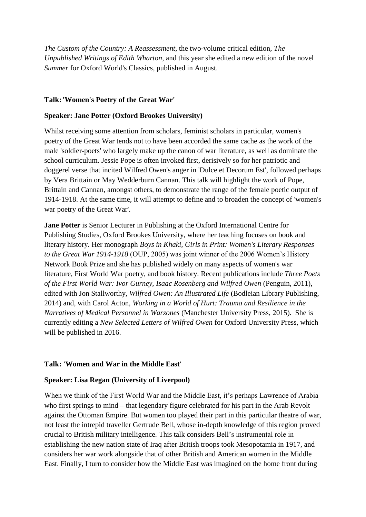*The Custom of the Country: A Reassessment*, the two-volume critical edition, *The Unpublished Writings of Edith Wharton*, and this year she edited a new edition of the novel *Summer* for Oxford World's Classics, published in August.

#### **Talk:'Women's Poetry of the Great War'**

#### **Speaker: Jane Potter (Oxford Brookes University)**

Whilst receiving some attention from scholars, feminist scholars in particular, women's poetry of the Great War tends not to have been accorded the same cache as the work of the male 'soldier-poets' who largely make up the canon of war literature, as well as dominate the school curriculum. Jessie Pope is often invoked first, derisively so for her patriotic and doggerel verse that incited Wilfred Owen's anger in 'Dulce et Decorum Est', followed perhaps by Vera Brittain or May Wedderburn Cannan. This talk will highlight the work of Pope, Brittain and Cannan, amongst others, to demonstrate the range of the female poetic output of 1914-1918. At the same time, it will attempt to define and to broaden the concept of 'women's war poetry of the Great War'.

**Jane Potter** is Senior Lecturer in Publishing at the Oxford International Centre for Publishing Studies, Oxford Brookes University, where her teaching focuses on book and literary history. Her monograph *Boys in Khaki, Girls in Print: Women's Literary Responses to the Great War 1914-1918* (OUP, 2005) was joint winner of the 2006 Women's History Network Book Prize and she has published widely on many aspects of women's war literature, First World War poetry, and book history. Recent publications include *Three Poets of the First World War: Ivor Gurney, Isaac Rosenberg and Wilfred Owen* (Penguin, 2011), edited with Jon Stallworthy, *Wilfred Owen: An Illustrated Life* (Bodleian Library Publishing, 2014) and, with Carol Acton, *Working in a World of Hurt: Trauma and Resilience in the Narratives of Medical Personnel in Warzones* (Manchester University Press, 2015). She is currently editing a *New Selected Letters of Wilfred Owen* for Oxford University Press, which will be published in 2016.

#### **Talk: 'Women and War in the Middle East'**

#### **Speaker: Lisa Regan (University of Liverpool)**

When we think of the First World War and the Middle East, it's perhaps Lawrence of Arabia who first springs to mind – that legendary figure celebrated for his part in the Arab Revolt against the Ottoman Empire. But women too played their part in this particular theatre of war, not least the intrepid traveller Gertrude Bell, whose in-depth knowledge of this region proved crucial to British military intelligence. This talk considers Bell's instrumental role in establishing the new nation state of Iraq after British troops took Mesopotamia in 1917, and considers her war work alongside that of other British and American women in the Middle East. Finally, I turn to consider how the Middle East was imagined on the home front during